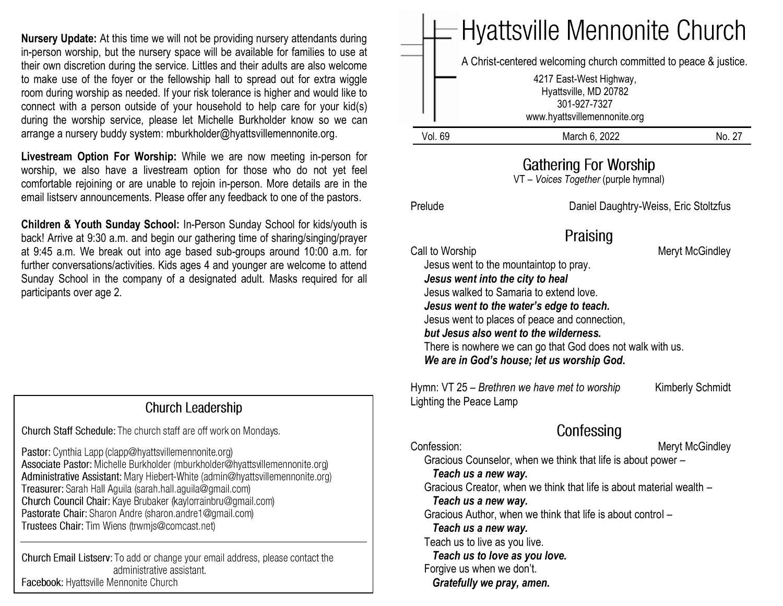**Nursery Update:** At this time we will not be providing nursery attendants during in-person worship, but the nursery space will be available for families to use at their own discretion during the service. Littles and their adults are also welcome to make use of the foyer or the fellowship hall to spread out for extra wiggle room during worship as needed. If your risk tolerance is higher and would like to connect with a person outside of your household to help care for your kid(s) during the worship service, please let Michelle Burkholder know so we can arrange a nursery buddy system: mburkholder@hyattsvillemennonite.org.

**Livestream Option For Worship:** While we are now meeting in-person for worship, we also have a livestream option for those who do not yet feel comfortable rejoining or are unable to rejoin in-person. More details are in the email listserv announcements. Please offer any feedback to one of the pastors.

**Children & Youth Sunday School:** In-Person Sunday School for kids/youth is back! Arrive at 9:30 a.m. and begin our gathering time of sharing/singing/prayer at 9:45 a.m. We break out into age based sub-groups around 10:00 a.m. for further conversations/activities. Kids ages 4 and younger are welcome to attend Sunday School in the company of a designated adult. Masks required for all participants over age 2.

### **Church Leadership**

Church Staff Schedule: The church staff are off work on Mondays.

Pastor: Cynthia Lapp (clapp@hyattsvillemennonite.org) Associate Pastor: Michelle Burkholder (mburkholder@hyattsvillemennonite.org) Administrative Assistant: Mary Hiebert-White (admin@hyattsvillemennonite.org) Treasurer: Sarah Hall Aguila (sarah.hall.aguila@gmail.com) Church Council Chair: Kaye Brubaker (kaylorrainbru@gmail.com) Pastorate Chair: Sharon Andre (sharon.andre1@gmail.com) Trustees Chair: Tim Wiens (trwmjs@comcast.net)

Church Email Listserv: To add or change your email address, please contact the administrative assistant. Facebook: Hyattsville Mennonite Church

|                                                               | - Hyattsville Mennonite Church                                                                                                                                                                                                                                                                                                                                                                                                                                                                                                    |                 |  |
|---------------------------------------------------------------|-----------------------------------------------------------------------------------------------------------------------------------------------------------------------------------------------------------------------------------------------------------------------------------------------------------------------------------------------------------------------------------------------------------------------------------------------------------------------------------------------------------------------------------|-----------------|--|
|                                                               | A Christ-centered welcoming church committed to peace & justice.<br>4217 East-West Highway,<br>Hyattsville, MD 20782<br>301-927-7327                                                                                                                                                                                                                                                                                                                                                                                              |                 |  |
|                                                               | www.hyattsvillemennonite.org                                                                                                                                                                                                                                                                                                                                                                                                                                                                                                      |                 |  |
| <b>Vol. 69</b>                                                | March 6, 2022                                                                                                                                                                                                                                                                                                                                                                                                                                                                                                                     | No. 27          |  |
| Gathering For Worship<br>VT - Voices Together (purple hymnal) |                                                                                                                                                                                                                                                                                                                                                                                                                                                                                                                                   |                 |  |
| Prelude                                                       | Daniel Daughtry-Weiss, Eric Stoltzfus                                                                                                                                                                                                                                                                                                                                                                                                                                                                                             |                 |  |
|                                                               | Praising<br>Call to Worship<br>Meryt McGindley<br>Jesus went to the mountaintop to pray.<br>Jesus went into the city to heal<br>Jesus walked to Samaria to extend love.<br>Jesus went to the water's edge to teach.<br>Jesus went to places of peace and connection,<br>but Jesus also went to the wilderness.<br>There is nowhere we can go that God does not walk with us.<br>We are in God's house; let us worship God.<br>Hymn: VT 25 – Brethren we have met to worship<br><b>Kimberly Schmidt</b><br>Lighting the Peace Lamp |                 |  |
| Confession:                                                   | Confessing<br>Gracious Counselor, when we think that life is about power -<br>Teach us a new way.<br>Gracious Creator, when we think that life is about material wealth –<br>Teach us a new way.<br>Gracious Author, when we think that life is about control -<br>Teach us a new way.<br>Teach us to live as you live.<br>Teach us to love as you love.<br>Forgive us when we don't.<br>Gratefully we pray, amen.                                                                                                                | Meryt McGindley |  |

**Contract Contract Contract Contract**